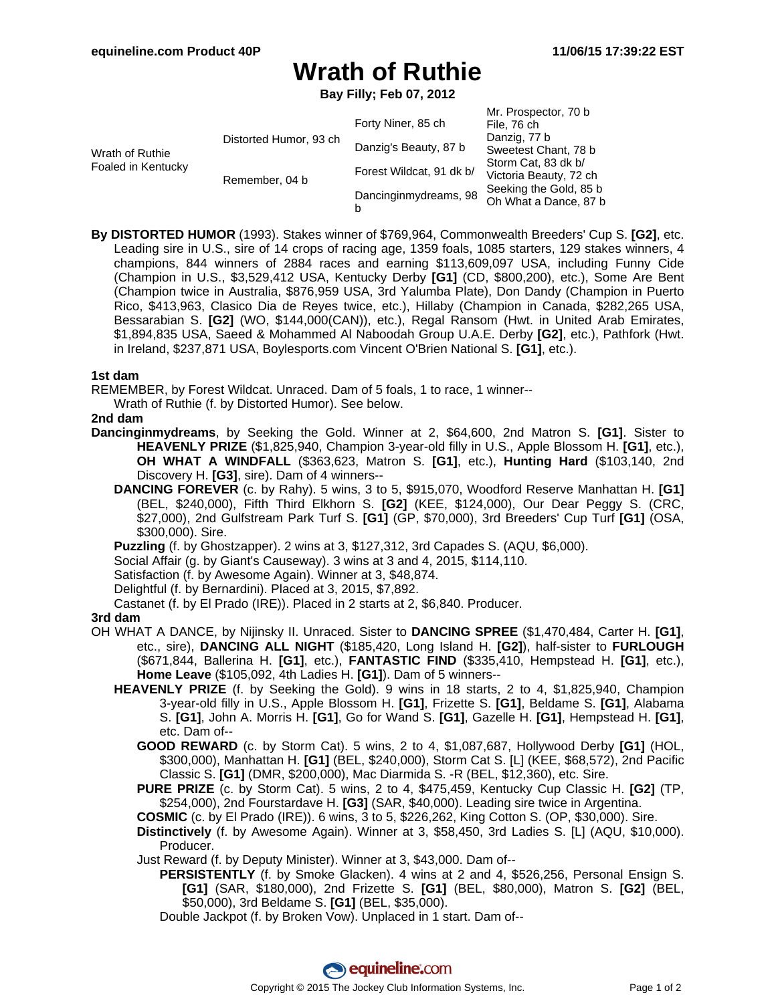# **Wrath of Ruthie**

**Bay Filly; Feb 07, 2012**

|                                       |                        |                          | Mr. Prospector, 70 b   |
|---------------------------------------|------------------------|--------------------------|------------------------|
| Wrath of Ruthie<br>Foaled in Kentucky | Distorted Humor, 93 ch | Forty Niner, 85 ch       | File, 76 ch            |
|                                       |                        | Danzig's Beauty, 87 b    | Danzig, 77 b           |
|                                       |                        |                          | Sweetest Chant, 78 b   |
|                                       | Remember, 04 b         | Forest Wildcat, 91 dk b/ | Storm Cat, 83 dk b/    |
|                                       |                        |                          | Victoria Beauty, 72 ch |
|                                       |                        | Dancinginmydreams, 98    | Seeking the Gold, 85 b |
|                                       |                        |                          | Oh What a Dance, 87 b  |
|                                       |                        | b                        |                        |

**By DISTORTED HUMOR** (1993). Stakes winner of \$769,964, Commonwealth Breeders' Cup S. **[G2]**, etc. Leading sire in U.S., sire of 14 crops of racing age, 1359 foals, 1085 starters, 129 stakes winners, 4 champions, 844 winners of 2884 races and earning \$113,609,097 USA, including Funny Cide (Champion in U.S., \$3,529,412 USA, Kentucky Derby **[G1]** (CD, \$800,200), etc.), Some Are Bent (Champion twice in Australia, \$876,959 USA, 3rd Yalumba Plate), Don Dandy (Champion in Puerto Rico, \$413,963, Clasico Dia de Reyes twice, etc.), Hillaby (Champion in Canada, \$282,265 USA, Bessarabian S. **[G2]** (WO, \$144,000(CAN)), etc.), Regal Ransom (Hwt. in United Arab Emirates, \$1,894,835 USA, Saeed & Mohammed Al Naboodah Group U.A.E. Derby **[G2]**, etc.), Pathfork (Hwt. in Ireland, \$237,871 USA, Boylesports.com Vincent O'Brien National S. **[G1]**, etc.).

### **1st dam**

REMEMBER, by Forest Wildcat. Unraced. Dam of 5 foals, 1 to race, 1 winner--

Wrath of Ruthie (f. by Distorted Humor). See below.

#### **2nd dam**

- **Dancinginmydreams**, by Seeking the Gold. Winner at 2, \$64,600, 2nd Matron S. **[G1]**. Sister to **HEAVENLY PRIZE** (\$1,825,940, Champion 3-year-old filly in U.S., Apple Blossom H. **[G1]**, etc.), **OH WHAT A WINDFALL** (\$363,623, Matron S. **[G1]**, etc.), **Hunting Hard** (\$103,140, 2nd Discovery H. **[G3]**, sire). Dam of 4 winners--
	- **DANCING FOREVER** (c. by Rahy). 5 wins, 3 to 5, \$915,070, Woodford Reserve Manhattan H. **[G1]** (BEL, \$240,000), Fifth Third Elkhorn S. **[G2]** (KEE, \$124,000), Our Dear Peggy S. (CRC, \$27,000), 2nd Gulfstream Park Turf S. **[G1]** (GP, \$70,000), 3rd Breeders' Cup Turf **[G1]** (OSA, \$300,000). Sire.

**Puzzling** (f. by Ghostzapper). 2 wins at 3, \$127,312, 3rd Capades S. (AQU, \$6,000).

Social Affair (g. by Giant's Causeway). 3 wins at 3 and 4, 2015, \$114,110.

Satisfaction (f. by Awesome Again). Winner at 3, \$48,874.

Delightful (f. by Bernardini). Placed at 3, 2015, \$7,892.

Castanet (f. by El Prado (IRE)). Placed in 2 starts at 2, \$6,840. Producer.

#### **3rd dam**

- OH WHAT A DANCE, by Nijinsky II. Unraced. Sister to **DANCING SPREE** (\$1,470,484, Carter H. **[G1]**, etc., sire), **DANCING ALL NIGHT** (\$185,420, Long Island H. **[G2]**), half-sister to **FURLOUGH** (\$671,844, Ballerina H. **[G1]**, etc.), **FANTASTIC FIND** (\$335,410, Hempstead H. **[G1]**, etc.), **Home Leave** (\$105,092, 4th Ladies H. **[G1]**). Dam of 5 winners--
	- **HEAVENLY PRIZE** (f. by Seeking the Gold). 9 wins in 18 starts, 2 to 4, \$1,825,940, Champion 3-year-old filly in U.S., Apple Blossom H. **[G1]**, Frizette S. **[G1]**, Beldame S. **[G1]**, Alabama S. **[G1]**, John A. Morris H. **[G1]**, Go for Wand S. **[G1]**, Gazelle H. **[G1]**, Hempstead H. **[G1]**, etc. Dam of--
		- **GOOD REWARD** (c. by Storm Cat). 5 wins, 2 to 4, \$1,087,687, Hollywood Derby **[G1]** (HOL, \$300,000), Manhattan H. **[G1]** (BEL, \$240,000), Storm Cat S. [L] (KEE, \$68,572), 2nd Pacific Classic S. **[G1]** (DMR, \$200,000), Mac Diarmida S. -R (BEL, \$12,360), etc. Sire.
		- **PURE PRIZE** (c. by Storm Cat). 5 wins, 2 to 4, \$475,459, Kentucky Cup Classic H. **[G2]** (TP, \$254,000), 2nd Fourstardave H. **[G3]** (SAR, \$40,000). Leading sire twice in Argentina.

**COSMIC** (c. by El Prado (IRE)). 6 wins, 3 to 5, \$226,262, King Cotton S. (OP, \$30,000). Sire.

**Distinctively** (f. by Awesome Again). Winner at 3, \$58,450, 3rd Ladies S. [L] (AQU, \$10,000). Producer.

Just Reward (f. by Deputy Minister). Winner at 3, \$43,000. Dam of--

**PERSISTENTLY** (f. by Smoke Glacken). 4 wins at 2 and 4, \$526,256, Personal Ensign S. **[G1]** (SAR, \$180,000), 2nd Frizette S. **[G1]** (BEL, \$80,000), Matron S. **[G2]** (BEL, \$50,000), 3rd Beldame S. **[G1]** (BEL, \$35,000).

Double Jackpot (f. by Broken Vow). Unplaced in 1 start. Dam of--